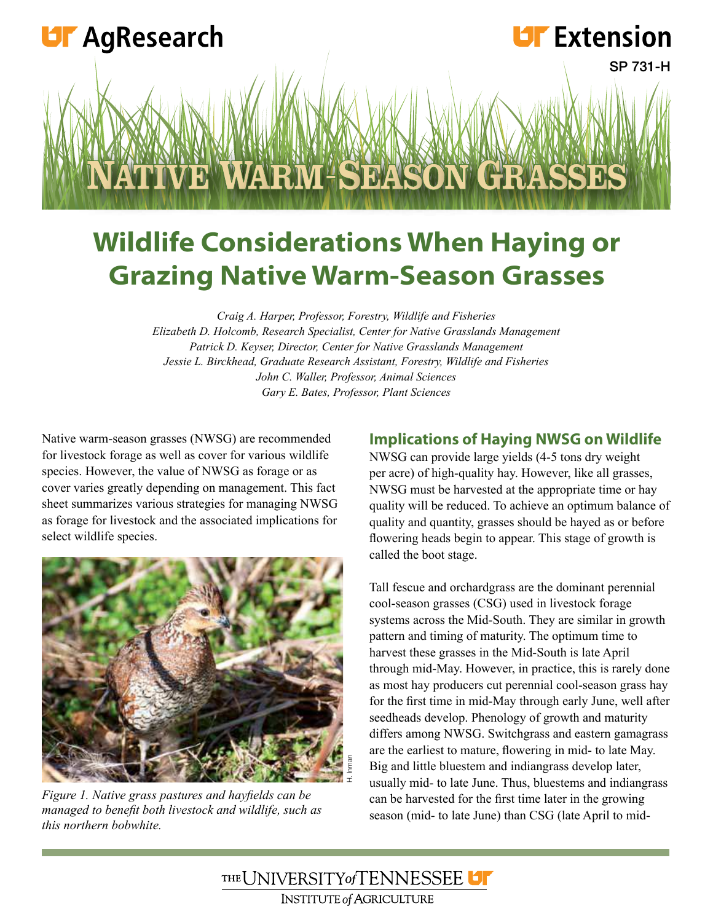

# **Wildlife Considerations When Haying or Grazing Native Warm-Season Grasses**

*Craig A. Harper, Professor, Forestry, Wildlife and Fisheries Elizabeth D. Holcomb, Research Specialist, Center for Native Grasslands Management Patrick D. Keyser, Director, Center for Native Grasslands Management Jessie L. Birckhead, Graduate Research Assistant, Forestry, Wildlife and Fisheries John C. Waller, Professor, Animal Sciences Gary E. Bates, Professor, Plant Sciences*

Native warm-season grasses (NWSG) are recommended for livestock forage as well as cover for various wildlife species. However, the value of NWSG as forage or as cover varies greatly depending on management. This fact sheet summarizes various strategies for managing NWSG as forage for livestock and the associated implications for select wildlife species.



*Figure 1. Native grass pastures and hayields can be managed to beneit both livestock and wildlife, such as this northern bobwhite.*

#### **Implications of Haying NWSG on Wildlife**

NWSG can provide large yields (4-5 tons dry weight per acre) of high-quality hay. However, like all grasses, NWSG must be harvested at the appropriate time or hay quality will be reduced. To achieve an optimum balance of quality and quantity, grasses should be hayed as or before flowering heads begin to appear. This stage of growth is called the boot stage.

Tall fescue and orchardgrass are the dominant perennial cool-season grasses (CSG) used in livestock forage systems across the Mid-South. They are similar in growth pattern and timing of maturity. The optimum time to harvest these grasses in the Mid-South is late April through mid-May. However, in practice, this is rarely done as most hay producers cut perennial cool-season grass hay for the first time in mid-May through early June, well after seedheads develop. Phenology of growth and maturity differs among NWSG. Switchgrass and eastern gamagrass are the earliest to mature, flowering in mid- to late May. Big and little bluestem and indiangrass develop later, usually mid- to late June. Thus, bluestems and indiangrass can be harvested for the first time later in the growing season (mid- to late June) than CSG (late April to mid-

THE UNIVERSITY of TENNESSEE U **INSTITUTE of AGRICULTURE**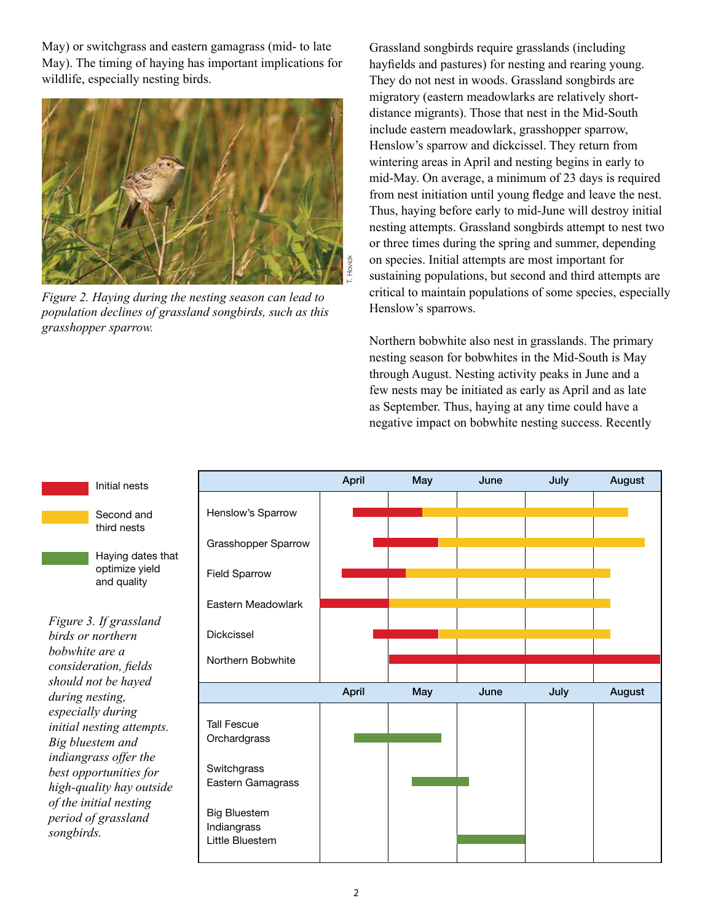May) or switchgrass and eastern gamagrass (mid- to late May). The timing of haying has important implications for wildlife, especially nesting birds.



*Figure 2. Haying during the nesting season can lead to population declines of grassland songbirds, such as this grasshopper sparrow.*

Grassland songbirds require grasslands (including hayfields and pastures) for nesting and rearing young. They do not nest in woods. Grassland songbirds are migratory (eastern meadowlarks are relatively shortdistance migrants). Those that nest in the Mid-South include eastern meadowlark, grasshopper sparrow, Henslow's sparrow and dickcissel. They return from wintering areas in April and nesting begins in early to mid-May. On average, a minimum of 23 days is required from nest initiation until young fledge and leave the nest. Thus, haying before early to mid-June will destroy initial nesting attempts. Grassland songbirds attempt to nest two or three times during the spring and summer, depending on species. Initial attempts are most important for sustaining populations, but second and third attempts are critical to maintain populations of some species, especially Henslow's sparrows.

Northern bobwhite also nest in grasslands. The primary nesting season for bobwhites in the Mid-South is May through August. Nesting activity peaks in June and a few nests may be initiated as early as April and as late as September. Thus, haying at any time could have a negative impact on bobwhite nesting success. Recently



#### Second and third nests

Initial nests

Haying dates that optimize yield and quality

*Figure 3. If grassland birds or northern bobwhite are a consideration, ields should not be hayed during nesting, especially during initial nesting attempts. Big bluestem and indiangrass offer the best opportunities for high-quality hay outside of the initial nesting period of grassland songbirds.*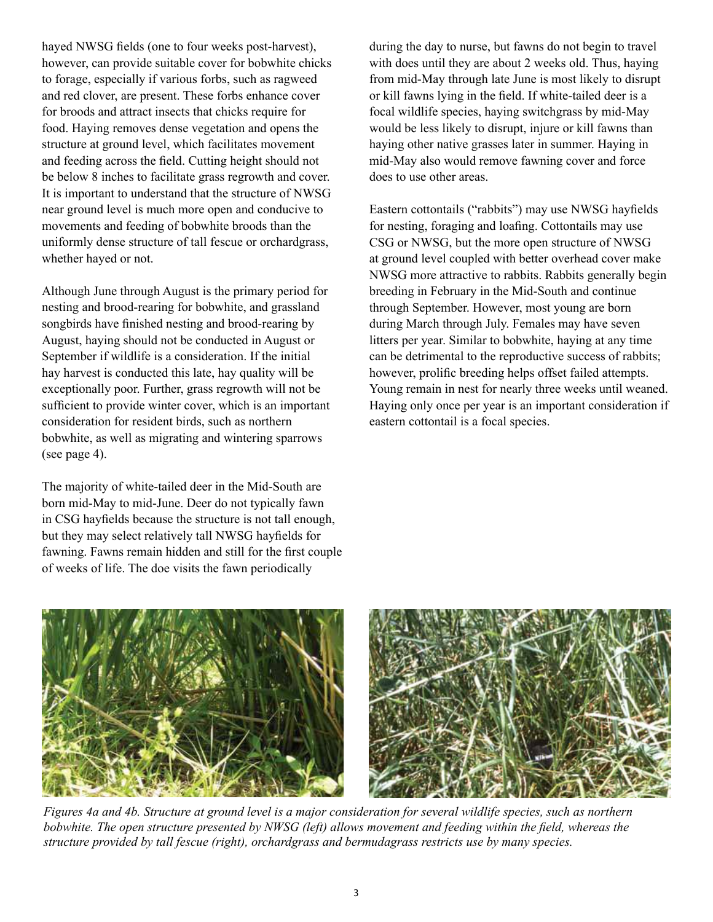hayed NWSG fields (one to four weeks post-harvest), however, can provide suitable cover for bobwhite chicks to forage, especially if various forbs, such as ragweed and red clover, are present. These forbs enhance cover for broods and attract insects that chicks require for food. Haying removes dense vegetation and opens the structure at ground level, which facilitates movement and feeding across the field. Cutting height should not be below 8 inches to facilitate grass regrowth and cover. It is important to understand that the structure of NWSG near ground level is much more open and conducive to movements and feeding of bobwhite broods than the uniformly dense structure of tall fescue or orchardgrass, whether hayed or not.

Although June through August is the primary period for nesting and brood-rearing for bobwhite, and grassland songbirds have finished nesting and brood-rearing by August, haying should not be conducted in August or September if wildlife is a consideration. If the initial hay harvest is conducted this late, hay quality will be exceptionally poor. Further, grass regrowth will not be sufficient to provide winter cover, which is an important consideration for resident birds, such as northern bobwhite, as well as migrating and wintering sparrows (see page 4).

The majority of white-tailed deer in the Mid-South are born mid-May to mid-June. Deer do not typically fawn in CSG hayfields because the structure is not tall enough, but they may select relatively tall NWSG hayfields for fawning. Fawns remain hidden and still for the first couple of weeks of life. The doe visits the fawn periodically

during the day to nurse, but fawns do not begin to travel with does until they are about 2 weeks old. Thus, haying from mid-May through late June is most likely to disrupt or kill fawns lying in the field. If white-tailed deer is a focal wildlife species, haying switchgrass by mid-May would be less likely to disrupt, injure or kill fawns than haying other native grasses later in summer. Haying in mid-May also would remove fawning cover and force does to use other areas.

Eastern cottontails ("rabbits") may use NWSG hayfields for nesting, foraging and loafing. Cottontails may use CSG or NWSG, but the more open structure of NWSG at ground level coupled with better overhead cover make NWSG more attractive to rabbits. Rabbits generally begin breeding in February in the Mid-South and continue through September. However, most young are born during March through July. Females may have seven litters per year. Similar to bobwhite, haying at any time can be detrimental to the reproductive success of rabbits; however, prolific breeding helps offset failed attempts. Young remain in nest for nearly three weeks until weaned. Haying only once per year is an important consideration if eastern cottontail is a focal species.





*Figures 4a and 4b. Structure at ground level is a major consideration for several wildlife species, such as northern bobwhite. The open structure presented by NWSG (left) allows movement and feeding within the field, whereas the structure provided by tall fescue (right), orchardgrass and bermudagrass restricts use by many species.*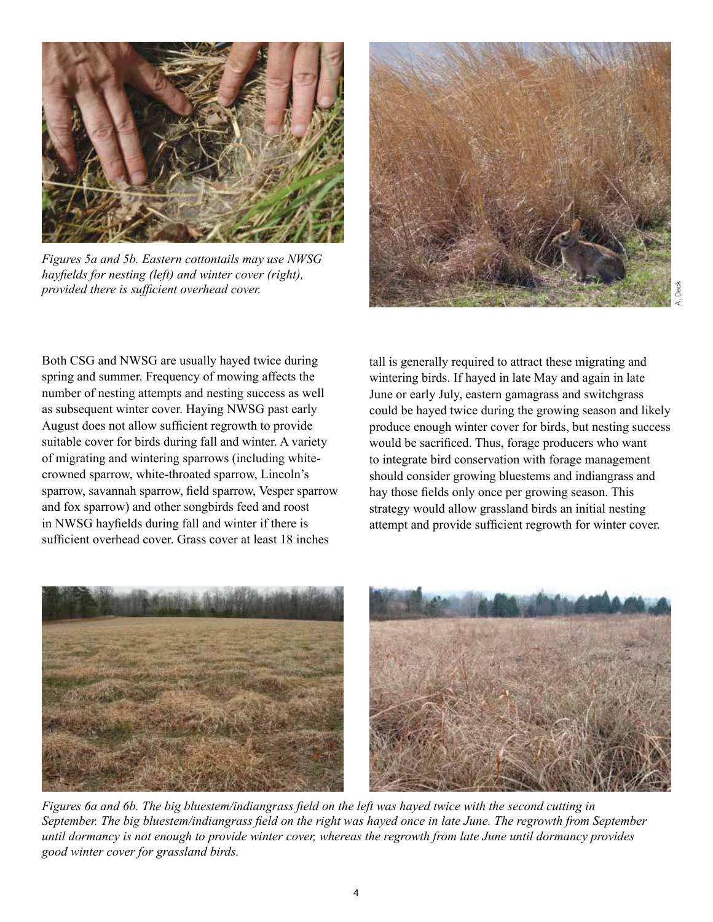

*Figures 5a and 5b. Eastern cottontails may use NWSG hayields for nesting (left) and winter cover (right), provided there is suficient overhead cover.*



Both CSG and NWSG are usually hayed twice during spring and summer. Frequency of mowing affects the number of nesting attempts and nesting success as well as subsequent winter cover. Haying NWSG past early August does not allow suficient regrowth to provide suitable cover for birds during fall and winter. A variety of migrating and wintering sparrows (including whitecrowned sparrow, white-throated sparrow, Lincoln's sparrow, savannah sparrow, field sparrow, Vesper sparrow and fox sparrow) and other songbirds feed and roost in NWSG hayfields during fall and winter if there is suficient overhead cover. Grass cover at least 18 inches

tall is generally required to attract these migrating and wintering birds. If hayed in late May and again in late June or early July, eastern gamagrass and switchgrass could be hayed twice during the growing season and likely produce enough winter cover for birds, but nesting success would be sacrificed. Thus, forage producers who want to integrate bird conservation with forage management should consider growing bluestems and indiangrass and hay those fields only once per growing season. This strategy would allow grassland birds an initial nesting attempt and provide suficient regrowth for winter cover.





*Figures 6a and 6b. The big bluestem/indiangrass field on the left was hayed twice with the second cutting in September. The big bluestem/indiangrass ield on the right was hayed once in late June. The regrowth from September until dormancy is not enough to provide winter cover, whereas the regrowth from late June until dormancy provides good winter cover for grassland birds.*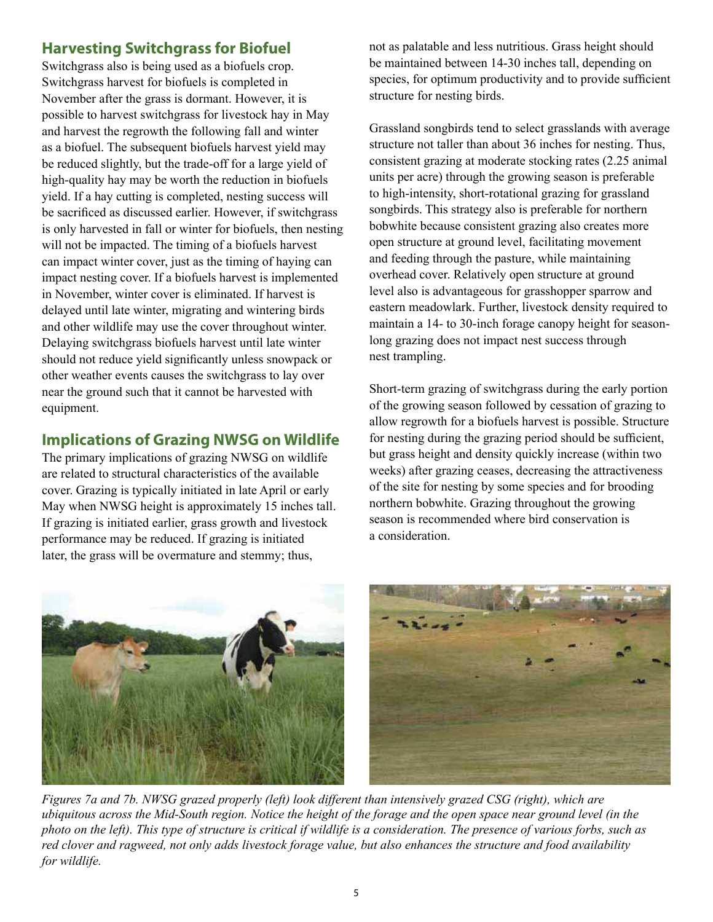### **Harvesting Switchgrass for Biofuel**

Switchgrass also is being used as a biofuels crop. Switchgrass harvest for biofuels is completed in November after the grass is dormant. However, it is possible to harvest switchgrass for livestock hay in May and harvest the regrowth the following fall and winter as a biofuel. The subsequent biofuels harvest yield may be reduced slightly, but the trade-off for a large yield of high-quality hay may be worth the reduction in biofuels yield. If a hay cutting is completed, nesting success will be sacrificed as discussed earlier. However, if switchgrass is only harvested in fall or winter for biofuels, then nesting will not be impacted. The timing of a biofuels harvest can impact winter cover, just as the timing of haying can impact nesting cover. If a biofuels harvest is implemented in November, winter cover is eliminated. If harvest is delayed until late winter, migrating and wintering birds and other wildlife may use the cover throughout winter. Delaying switchgrass biofuels harvest until late winter should not reduce yield significantly unless snowpack or other weather events causes the switchgrass to lay over near the ground such that it cannot be harvested with equipment.

## **Implications of Grazing NWSG on Wildlife**

The primary implications of grazing NWSG on wildlife are related to structural characteristics of the available cover. Grazing is typically initiated in late April or early May when NWSG height is approximately 15 inches tall. If grazing is initiated earlier, grass growth and livestock performance may be reduced. If grazing is initiated later, the grass will be overmature and stemmy; thus,

not as palatable and less nutritious. Grass height should be maintained between 14-30 inches tall, depending on species, for optimum productivity and to provide suficient structure for nesting birds.

Grassland songbirds tend to select grasslands with average structure not taller than about 36 inches for nesting. Thus, consistent grazing at moderate stocking rates (2.25 animal units per acre) through the growing season is preferable to high-intensity, short-rotational grazing for grassland songbirds. This strategy also is preferable for northern bobwhite because consistent grazing also creates more open structure at ground level, facilitating movement and feeding through the pasture, while maintaining overhead cover. Relatively open structure at ground level also is advantageous for grasshopper sparrow and eastern meadowlark. Further, livestock density required to maintain a 14- to 30-inch forage canopy height for seasonlong grazing does not impact nest success through nest trampling.

Short-term grazing of switchgrass during the early portion of the growing season followed by cessation of grazing to allow regrowth for a biofuels harvest is possible. Structure for nesting during the grazing period should be suficient, but grass height and density quickly increase (within two weeks) after grazing ceases, decreasing the attractiveness of the site for nesting by some species and for brooding northern bobwhite. Grazing throughout the growing season is recommended where bird conservation is a consideration.





*Figures 7a and 7b. NWSG grazed properly (left) look different than intensively grazed CSG (right), which are ubiquitous across the Mid-South region. Notice the height of the forage and the open space near ground level (in the photo on the left). This type of structure is critical if wildlife is a consideration. The presence of various forbs, such as red clover and ragweed, not only adds livestock forage value, but also enhances the structure and food availability for wildlife.*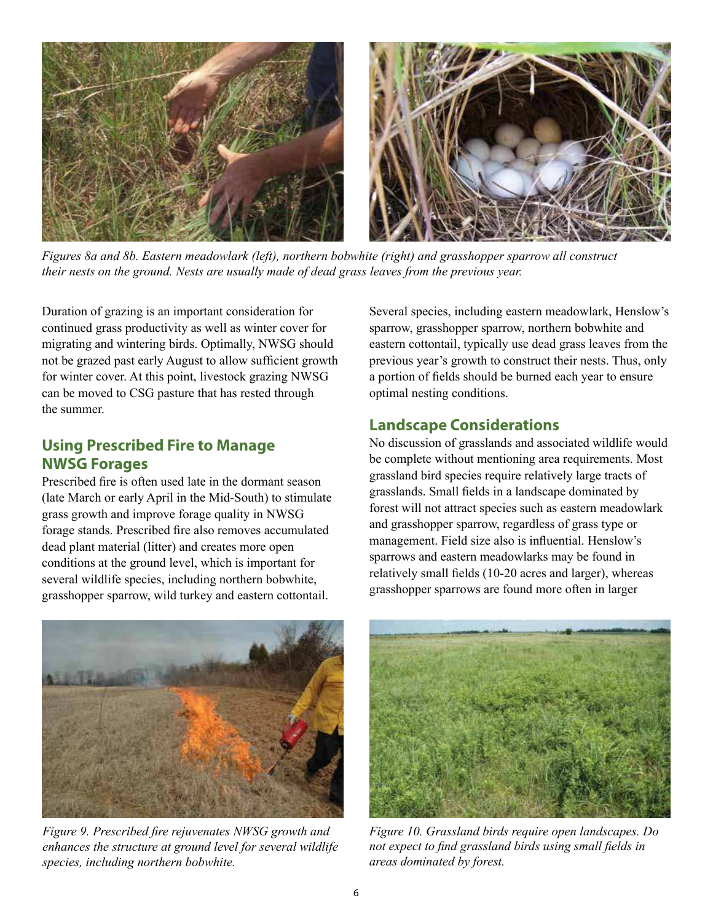

*Figures 8a and 8b. Eastern meadowlark (left), northern bobwhite (right) and grasshopper sparrow all construct their nests on the ground. Nests are usually made of dead grass leaves from the previous year.*

Duration of grazing is an important consideration for continued grass productivity as well as winter cover for migrating and wintering birds. Optimally, NWSG should not be grazed past early August to allow suficient growth for winter cover. At this point, livestock grazing NWSG can be moved to CSG pasture that has rested through the summer.

#### **Using Prescribed Fire to Manage NWSG Forages**

Prescribed fire is often used late in the dormant season (late March or early April in the Mid-South) to stimulate grass growth and improve forage quality in NWSG forage stands. Prescribed fire also removes accumulated dead plant material (litter) and creates more open conditions at the ground level, which is important for several wildlife species, including northern bobwhite, grasshopper sparrow, wild turkey and eastern cottontail.

Several species, including eastern meadowlark, Henslow's sparrow, grasshopper sparrow, northern bobwhite and eastern cottontail, typically use dead grass leaves from the previous year's growth to construct their nests. Thus, only a portion of ields should be burned each year to ensure optimal nesting conditions.

#### **Landscape Considerations**

No discussion of grasslands and associated wildlife would be complete without mentioning area requirements. Most grassland bird species require relatively large tracts of grasslands. Small fields in a landscape dominated by forest will not attract species such as eastern meadowlark and grasshopper sparrow, regardless of grass type or management. Field size also is influential. Henslow's sparrows and eastern meadowlarks may be found in relatively small fields (10-20 acres and larger), whereas grasshopper sparrows are found more often in larger



*Figure 9. Prescribed ire rejuvenates NWSG growth and enhances the structure at ground level for several wildlife species, including northern bobwhite.*



*Figure 10. Grassland birds require open landscapes. Do not expect to find grassland birds using small fields in areas dominated by forest.*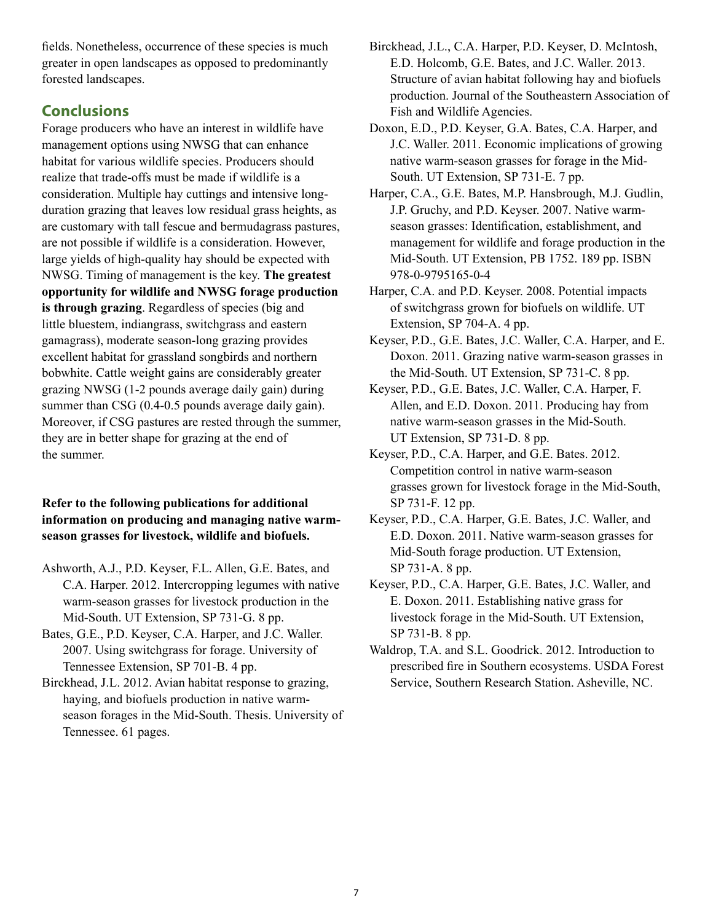fields. Nonetheless, occurrence of these species is much greater in open landscapes as opposed to predominantly forested landscapes.

### **Conclusions**

Forage producers who have an interest in wildlife have management options using NWSG that can enhance habitat for various wildlife species. Producers should realize that trade-offs must be made if wildlife is a consideration. Multiple hay cuttings and intensive longduration grazing that leaves low residual grass heights, as are customary with tall fescue and bermudagrass pastures, are not possible if wildlife is a consideration. However, large yields of high-quality hay should be expected with NWSG. Timing of management is the key. **The greatest opportunity for wildlife and NWSG forage production is through grazing**. Regardless of species (big and little bluestem, indiangrass, switchgrass and eastern gamagrass), moderate season-long grazing provides excellent habitat for grassland songbirds and northern bobwhite. Cattle weight gains are considerably greater grazing NWSG (1-2 pounds average daily gain) during summer than CSG (0.4-0.5 pounds average daily gain). Moreover, if CSG pastures are rested through the summer, they are in better shape for grazing at the end of the summer.

#### **Refer to the following publications for additional information on producing and managing native warmseason grasses for livestock, wildlife and biofuels.**

- Ashworth, A.J., P.D. Keyser, F.L. Allen, G.E. Bates, and C.A. Harper. 2012. Intercropping legumes with native warm-season grasses for livestock production in the Mid-South. UT Extension, SP 731-G. 8 pp.
- Bates, G.E., P.D. Keyser, C.A. Harper, and J.C. Waller. 2007. Using switchgrass for forage. University of Tennessee Extension, SP 701-B. 4 pp.
- Birckhead, J.L. 2012. Avian habitat response to grazing, haying, and biofuels production in native warmseason forages in the Mid-South. Thesis. University of Tennessee. 61 pages.
- Birckhead, J.L., C.A. Harper, P.D. Keyser, D. McIntosh, E.D. Holcomb, G.E. Bates, and J.C. Waller. 2013. Structure of avian habitat following hay and biofuels production. Journal of the Southeastern Association of Fish and Wildlife Agencies.
- Doxon, E.D., P.D. Keyser, G.A. Bates, C.A. Harper, and J.C. Waller. 2011. Economic implications of growing native warm-season grasses for forage in the Mid-South. UT Extension, SP 731-E. 7 pp.
- Harper, C.A., G.E. Bates, M.P. Hansbrough, M.J. Gudlin, J.P. Gruchy, and P.D. Keyser. 2007. Native warmseason grasses: Identification, establishment, and management for wildlife and forage production in the Mid-South. UT Extension, PB 1752. 189 pp. ISBN 978-0-9795165-0-4
- Harper, C.A. and P.D. Keyser. 2008. Potential impacts of switchgrass grown for biofuels on wildlife. UT Extension, SP 704-A. 4 pp.
- Keyser, P.D., G.E. Bates, J.C. Waller, C.A. Harper, and E. Doxon. 2011. Grazing native warm-season grasses in the Mid-South. UT Extension, SP 731-C. 8 pp.
- Keyser, P.D., G.E. Bates, J.C. Waller, C.A. Harper, F. Allen, and E.D. Doxon. 2011. Producing hay from native warm-season grasses in the Mid-South. UT Extension, SP 731-D. 8 pp.
- Keyser, P.D., C.A. Harper, and G.E. Bates. 2012. Competition control in native warm-season grasses grown for livestock forage in the Mid-South, SP 731-F. 12 pp.
- Keyser, P.D., C.A. Harper, G.E. Bates, J.C. Waller, and E.D. Doxon. 2011. Native warm-season grasses for Mid-South forage production. UT Extension, SP 731-A. 8 pp.
- Keyser, P.D., C.A. Harper, G.E. Bates, J.C. Waller, and E. Doxon. 2011. Establishing native grass for livestock forage in the Mid-South. UT Extension, SP 731-B. 8 pp.
- Waldrop, T.A. and S.L. Goodrick. 2012. Introduction to prescribed fire in Southern ecosystems. USDA Forest Service, Southern Research Station. Asheville, NC.